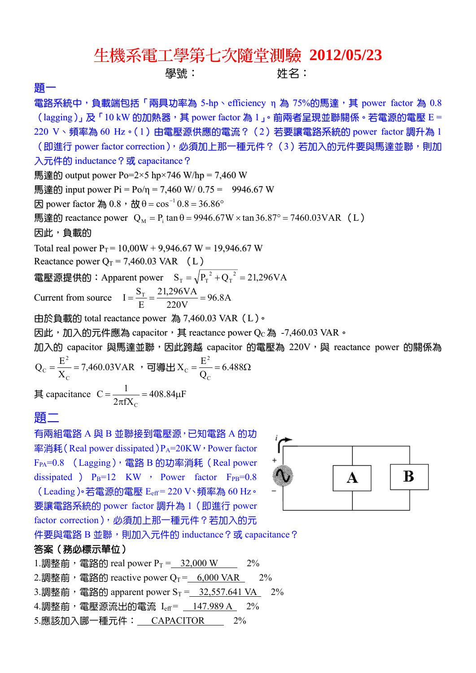## 生機系電工學第七次隨堂測驗 **2012/05/23**

學號: 姓名:

題一

電路系統中,負載端包括「兩具功率為 5-hp、efficiency η 為 75%的馬達,其 power factor 為 0.8 (lagging)」及「10 kW 的加熱器,其 power factor 為 1」。前兩者呈現並聯關係。若電源的電壓 E = 220 V、頻率為 60 Hz。(1)由電壓源供應的電流? (2)若要讓電路系統的 power factor 調升為 1 (即進行 power factor correction), 必須加上那一種元件?(3)若加入的元件要與馬達並聯,則加 入元件的 inductance? 或 capacitance? 馬達的 output power Po=2×5 hp×746 W/hp = 7,460 W 馬達的 input power  $Pi = Po/n = 7,460$  W/ 0.75 = 9946.67 W  $\boxtimes$  power factor 為 0.8, 故 θ = cos<sup>-1</sup> 0.8 = 36.86°  $\overline{R}$ 達的 reactance power Q<sub>M</sub> = P<sub>i</sub> tan  $\theta$  = 9946.67W × tan 36.87° = 7460.03VAR (L) 因此,負載的 Total real power  $P_T = 10,00W + 9,946.67 W = 19,946.67 W$ Reactance power  $Q_T = 7,460.03 \text{ VAR}$  (L) 電壓源提供的:Apparent power  $\quad \mathrm{S_T} = \sqrt{\mathrm{P_T}^2 + \mathrm{Q_T}^2} = 21{,}296 \mathrm{VA}$  $_{\rm T} = \sqrt{P_{\rm T}^{2} + Q_{\rm T}^{2}} =$ Current from source  $I = \frac{9T}{E} = \frac{21,290 \text{ V1}}{200 \text{ V}} = 96.8 \text{A}$ 220V 21,296VA E  $I = \frac{S_T}{I} = \frac{21,296VA}{200} =$ 由於負載的 total reactance power 為 7,460.03 VAR(L)。

因此,加入的元件應為 capacitor, 其 reactance power Qc 為 -7,460.03 VAR。

加入的 capacitor 與馬達並聯, 因此跨越 capacitor 的電壓為 220V, 與 reactance power 的關係為 2 2

7,460.03VAR X  $Q_c = \frac{E}{\tau}$ C  $\frac{E}{X_{\rm C}}$  = 7,460.03VAR ,可導出  $X_{\rm C}$  =  $\frac{E}{Q_{\rm C}}$  = 6.488Ω  $X_c = \frac{E}{c}$ C C 其 capacitance  $C = \frac{1}{2 \pi \epsilon} = 408.84 \mu F$  $2\pi fX$  $C = \frac{1}{2}$  $=\frac{1}{2\pi fX_c}=408.84\mu$ 

C

## 題二

有兩組電路 A 與 B 並聯接到電壓源,已知電路 A 的功 率消耗(Real power dissipated) $P_A$ =20KW, Power factor F<sub>PA</sub>=0.8 (Lagging), 電路 B 的功率消耗 (Real power dissipated )  $P_B=12$  KW , Power factor  $F_{PR}=0.8$ (Leading)。若電源的電壓 Eeff = 220 V、頻率為 60 Hz。 要讓電路系統的 power factor 調升為 1(即進行 power factor correction), 必須加上那一種元件?若加入的元



件要與電路 B 並聯,則加入元件的 inductance?或 capacitance?

## 答案(務必標示單位)

1.調整前,電路的 real power  $P_T = 32,000 \text{ W}$  2% 2.調整前,電路的 reactive power  $Q_T = 6,000$  VAR 2% 3.調整前,電路的 apparent power  $S_T = 32,557.641$  VA  $2\%$  $4.\overline{||}$ 調整前,電壓源流出的電流  $I_{\text{eff}} = 147.989 \text{ A}$  2% 5.應該加入哪一種元件: CAPACITOR 2%